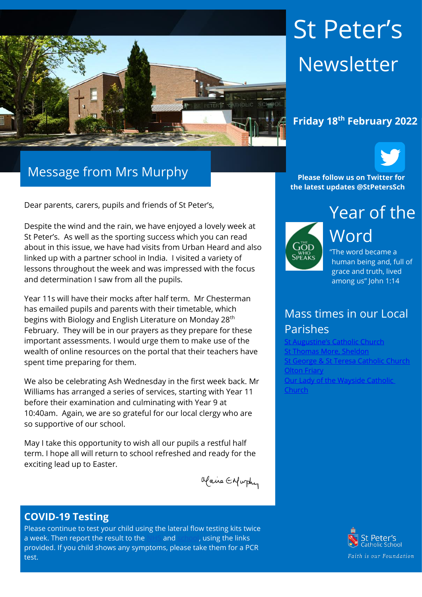

# Message from Mrs Murphy

Dear parents, carers, pupils and friends of St Peter's,

Despite the wind and the rain, we have enjoyed a lovely week at St Peter's. As well as the sporting success which you can read about in this issue, we have had visits from Urban Heard and also linked up with a partner school in India. I visited a variety of lessons throughout the week and was impressed with the focus and determination I saw from all the pupils.

Year 11s will have their mocks after half term. Mr Chesterman has emailed pupils and parents with their timetable, which begins with Biology and English Literature on Monday 28<sup>th</sup> February. They will be in our prayers as they prepare for these important assessments. I would urge them to make use of the wealth of online resources on the portal that their teachers have spent time preparing for them.

We also be celebrating Ash Wednesday in the first week back. Mr Williams has arranged a series of services, starting with Year 11 before their examination and culminating with Year 9 at 10:40am. Again, we are so grateful for our local clergy who are so supportive of our school.

May I take this opportunity to wish all our pupils a restful half term. I hope all will return to school refreshed and ready for the exciting lead up to Easter.

alaire Enfurthy

# **COVID-19 Testing**

Please continue to test your child using the lateral flow testing kits twice a week. Then report the result to the [NHS](https://protect-eu.mimecast.com/s/FGTjCkrj2Uql2qC2sec8?domain=gov.uk) and [school,](https://protect-eu.mimecast.com/s/0JpMCl2kRSzGRzf9XFat?domain=forms.office.com) using the links provided. If you child shows any symptoms, please take them for a PCR test.

# St Peter's Newsletter



**Please follow us on Twitter for the latest updates @StPetersSch**



Year of the Word "The word became a

human being and, full of grace and truth, lived among us" John 1:14

# Mass times in our Local Parishes

Catholic Church [St Thomas More, Sheldon](https://www.stthomasmorercchurch.com/) t George & St Teresa Catholic Church [Olton Friary](https://www.oltonfriary.org.uk/) [Our Lady of the Wayside Catholic](http://ourladyofthewaysidechurchshirley.co.uk/)  [Church](http://ourladyofthewaysidechurchshirley.co.uk/)

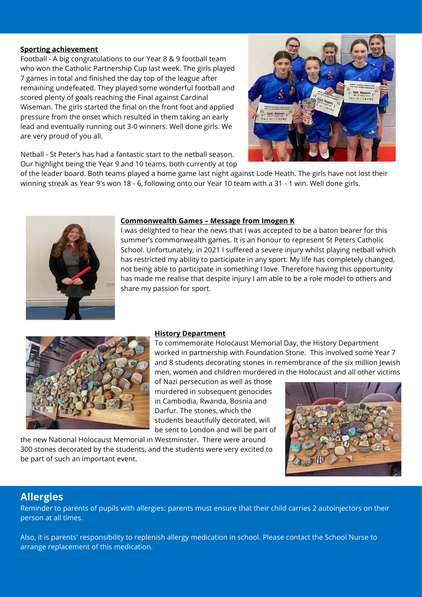#### **Sporting achievement**

Football - A big congratulations to our Year 8 & 9 football team who won the Catholic Partnership Cup last week. The girls played 7 games in total and finished the day top of the league after remaining undefeated. They played some wonderful football and scored plenty of goals reaching the Final against Cardinal Wiseman. The girls started the final on the front foot and applied pressure from the onset which resulted in them taking an early lead and eventually running out 3-0 winners. Well done girls. We are very proud of you all.



Netball - St Peter's has had a fantastic start to the netball season. Our highlight being the Year 9 and 10 teams, both currently at top

of the leader board. Both teams played a home game last night against Lode Heath. The girls have not lost their winning streak as Year 9's won 18 - 6, following onto our Year 10 team with a 31 - 1 win. Well done girls.



#### **Commonwealth Games – Message from Imogen K**

I was delighted to hear the news that I was accepted to be a baton bearer for this summer's commonwealth games. It is an honour to represent St Peters Catholic School. Unfortunately, in 2021 I suffered a severe injury whilst playing netball which has restricted my ability to participate in any sport. My life has completely changed, not being able to participate in something I love. Therefore having this opportunity has made me realise that despite injury I am able to be a role model to others and share my passion for sport.



#### **History Department**

To commemorate Holocaust Memorial Day, the History Department worked in partnership with Foundation Stone. This involved some Year 7 and 8 students decorating stones in remembrance of the six million Jewish men, women and children murdered in the Holocaust and all other victims

of Nazi persecution as well as those murdered in subsequent genocides in Cambodia, Rwanda, Bosnia and Darfur. The stones, which the students beautifully decorated, will be sent to London and will be part of

the new National Holocaust Memorial in Westminster. There were around 300 stones decorated by the students, and the students were very excited to be part of such an important event.



## **Allergies**

Reminder to parents of pupils with allergies: parents must ensure that their child carries 2 autoinjectors on their person at all times.

Also, it is parents' responsibility to replenish allergy medication in school. Please contact the School Nurse to arrange replacement of this medication.